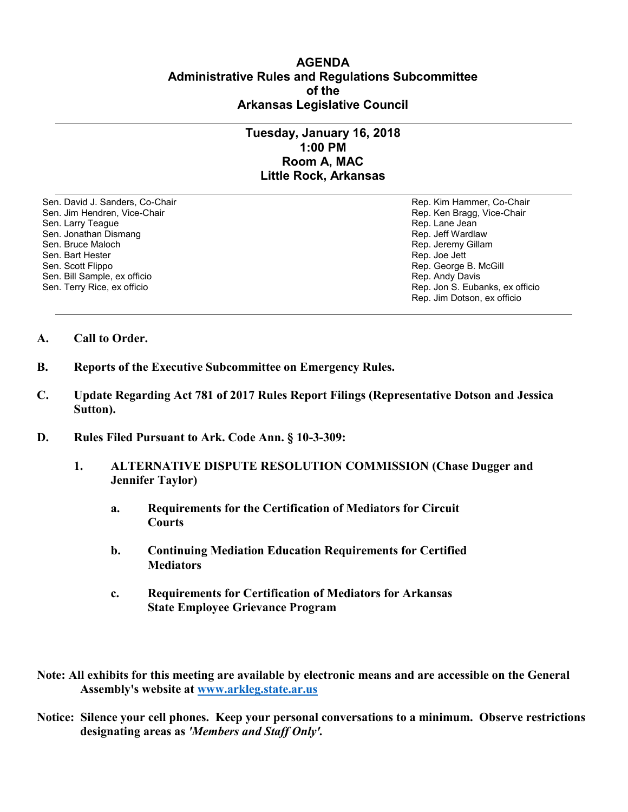## **AGENDA Administrative Rules and Regulations Subcommittee of the Arkansas Legislative Council**

## **Tuesday, January 16, 2018 1:00 PM Room A, MAC Little Rock, Arkansas**

Sen. David J. Sanders, Co-Chair Rep. Kim Hammer, Co-Chair Sen. Jim Hendren, Vice-Chair Rep. Ken Bragg, Vice-Chair Rep. Ken Bragg, Vice-Chair Sen. Larry Teague Rep. Lane Jean (1999) Sen. Larry Teague Rep. Lane Jean (1999) Sen. Jonathan Dismang Sen. Jean (1999) Sen. Jean (1999) Sen. Jean (1999) Sen. Jean (1999) Sen. Jean (1999) Sen. Jean (1999) Sen. Jean (1999) S Sen. Jonathan Dismang<br>Sen. Bruce Maloch Sen. Bart Hester Rep. Joe Jett Sen. Scott Flippo Sen. Bill Sample, ex officio<br>Sen. Terry Rice, ex officio

Rep. Jeremy Gillam Rep. George B. McGill<br>Rep. Andy Davis Rep. Jon S. Eubanks, ex officio Rep. Jim Dotson, ex officio

- **A. Call to Order.**
- **B. Reports of the Executive Subcommittee on Emergency Rules.**
- **C. Update Regarding Act 781 of 2017 Rules Report Filings (Representative Dotson and Jessica Sutton).**
- **D. Rules Filed Pursuant to Ark. Code Ann. § 10-3-309:**
	- **1. ALTERNATIVE DISPUTE RESOLUTION COMMISSION (Chase Dugger and Jennifer Taylor)**
		- **a. Requirements for the Certification of Mediators for Circuit Courts**
		- **b. Continuing Mediation Education Requirements for Certified Mediators**
		- **c. Requirements for Certification of Mediators for Arkansas State Employee Grievance Program**
- **Note: All exhibits for this meeting are available by electronic means and are accessible on the General Assembly's website at [www.arkleg.state.ar.us](http://www.arkleg.state.ar.us)**
- **Notice: Silence your cell phones. Keep your personal conversations to a minimum. Observe restrictions designating areas as** *'Members and Staff Only'.*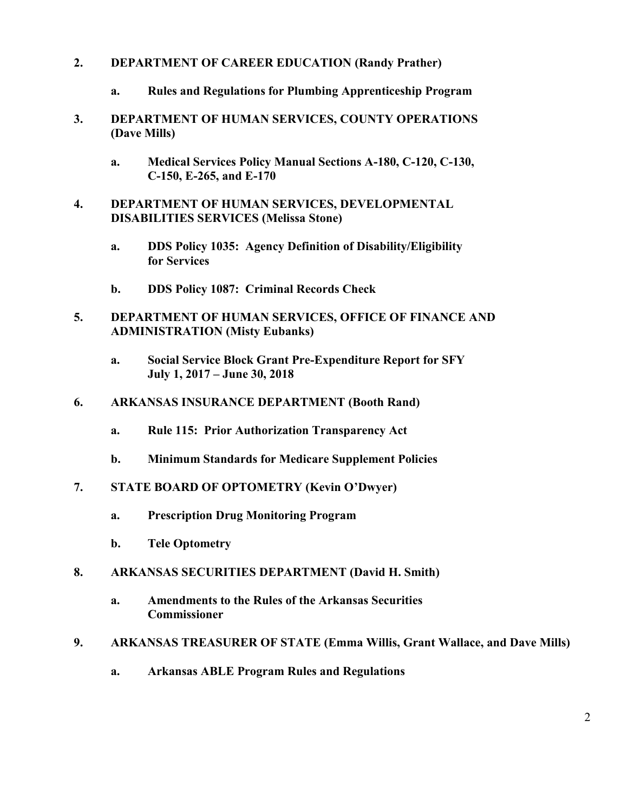## **2. DEPARTMENT OF CAREER EDUCATION (Randy Prather)**

- **a. Rules and Regulations for Plumbing Apprenticeship Program**
- **3. DEPARTMENT OF HUMAN SERVICES, COUNTY OPERATIONS (Dave Mills)**
	- **a. Medical Services Policy Manual Sections A-180, C-120, C-130, C-150, E-265, and E-170**
- **4. DEPARTMENT OF HUMAN SERVICES, DEVELOPMENTAL DISABILITIES SERVICES (Melissa Stone)**
	- **a. DDS Policy 1035: Agency Definition of Disability/Eligibility for Services**
	- **b. DDS Policy 1087: Criminal Records Check**
- **5. DEPARTMENT OF HUMAN SERVICES, OFFICE OF FINANCE AND ADMINISTRATION (Misty Eubanks)**
	- **a. Social Service Block Grant Pre-Expenditure Report for SFY July 1, 2017 – June 30, 2018**
- **6. ARKANSAS INSURANCE DEPARTMENT (Booth Rand)**
	- **a. Rule 115: Prior Authorization Transparency Act**
	- **b. Minimum Standards for Medicare Supplement Policies**
- **7. STATE BOARD OF OPTOMETRY (Kevin O'Dwyer)**
	- **a. Prescription Drug Monitoring Program**
	- **b. Tele Optometry**
- **8. ARKANSAS SECURITIES DEPARTMENT (David H. Smith)**
	- **a. Amendments to the Rules of the Arkansas Securities Commissioner**

## **9. ARKANSAS TREASURER OF STATE (Emma Willis, Grant Wallace, and Dave Mills)**

**a. Arkansas ABLE Program Rules and Regulations**